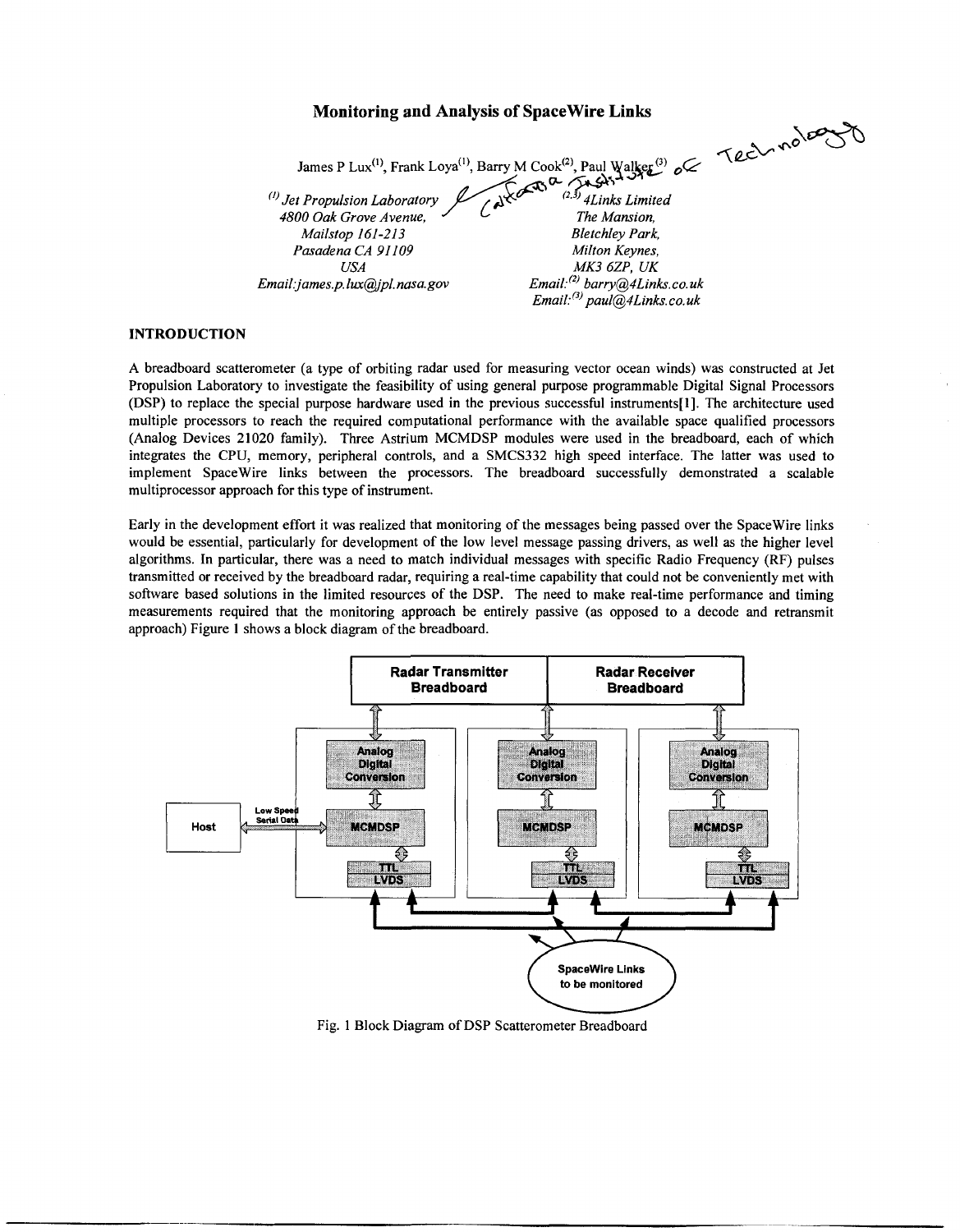# **Monitoring and Analysis of Spacewire Links**

James P Lux<sup>(1)</sup>, Frank Loya<sup>(1)</sup>, Barry M Cook<sup>(2)</sup>, Paul Walker<sup>(3)</sup> o James P Lux<sup>(1)</sup>, Frank Loya<sup>(1)</sup>, Barry M Cook<sup>(2)</sup>, Paul Walker<sup>(3)</sup> o <br>
(*I) Jet Propulsion Laboratory* (*A* Cook<sup>(2)</sup>, Paul Walker<sup>(3)</sup> o <br>
(*A* Cook<sup>(2)</sup>, Paul Walker<sup>(3)</sup> o (*A* Cook Grove Avenue, *CA* Cook Grove Av *Aktion Cook*<sup>(1)</sup>, Frank Loya<sup>(1)</sup>, Barry M Cook<sup>(2)</sup>, Paul Walker<br>*4800 Oak Grove Avenue,*<br>*Aktion Cook Grove Avenue,*<br>*The Mansion, Mailstop 161-213*<br>*Bletchley Park*,

*Pasadena CA 91 I09* 

*Mailstop 161-213 Bletchley Park, Milton Keynes, USA MK3 6ZP, UK Email3ames.p. lux@pl. [nasa.gov](http://nasa.gov) Email:(2[1 barry@4Links.co.uk](mailto:barry@4Links.co.uk) Email:(3) paul@lLinks.co. uk* 

# **INTRODUCTION**

A breadboard scatterometer (a type of orbiting radar used for measuring vector ocean winds) was constructed at Jet Propulsion Laboratory to investigate the feasibility of using general purpose programmable Digital Signal Processors  $(DSP)$  to replace the special purpose hardware used in the previous successful instruments[1]. The architecture used multiple processors to reach the required computational performance with the available space qualified processors (Analog Devices 21020 family). Three Astrium MCMDSP modules were used in the breadboard, each of which integrates the CPU, memory, peripheral controls, and a SMCS332 high speed interface. The latter was used to implement Spacewire links between the processors. The breadboard successfully demonstrated a scalable multiprocessor approach for this type of instrument.

Early in the development effort it was realized that monitoring of the messages being passed over the Spacewire links would be essential, particularly for development of the low level message passing drivers, as well **as** the higher level algorithms. In particular, there was a need to match individual messages with specific Radio Frequency (RF) pulses transmitted **or** received by the breadboard radar, requiring a real-time capability that could not be conveniently met with software based solutions in the limited resources of the DSP. The need to make real-time performance and timing measurements required that the monitoring approach be entirely passive (as opposed to a decode and retransmit approach) Figure 1 shows a block diagram of the breadboard.



Fig. 1 Block Diagram of DSP Scatterometer Breadboard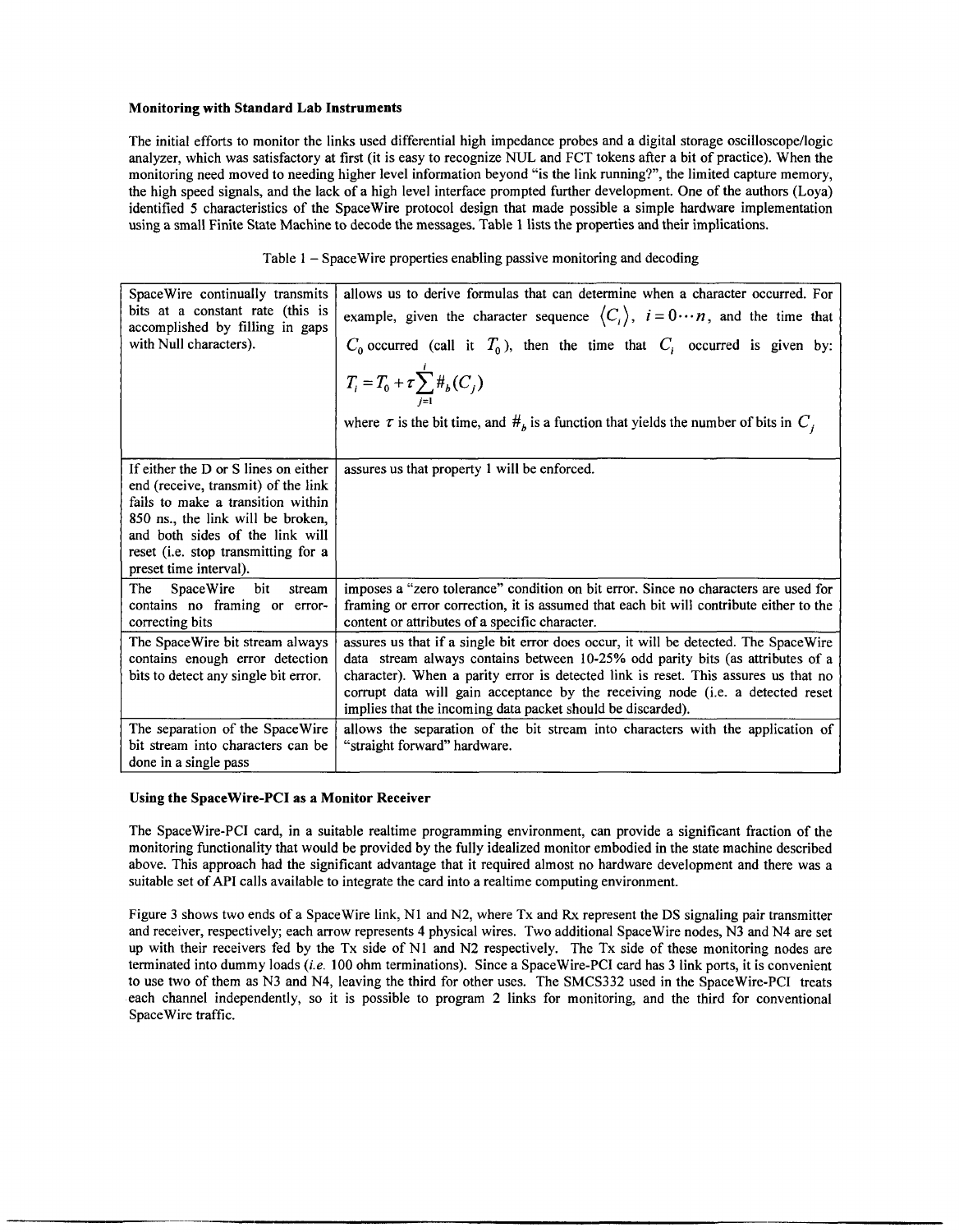# **Monitoring with Standard Lab Instruments**

The initial efforts to monitor the links used differential high impedance probes and a digital storage oscilloscope/logic analyzer, which was satisfactory at first (it is easy to recognize NUL and FCT tokens after a bit of practice). When the monitoring need moved to needing higher level information beyond "is the link running?", the limited capture memory, the high speed signals, and the lack of a high level interface prompted further development. One of the authors (Loya) identified 5 characteristics of the Spacewire protocol design that made possible a simple hardware implementation using a small Finite State Machine to decode the messages. Table **1** lists the properties and their implications.

| Table 1 – Space Wire properties enabling passive monitoring and decoding |
|--------------------------------------------------------------------------|
|--------------------------------------------------------------------------|

| Space Wire continually transmits<br>bits at a constant rate (this is<br>accomplished by filling in gaps<br>with Null characters).                                                                                                                         | allows us to derive formulas that can determine when a character occurred. For<br>example, given the character sequence $\langle C_i \rangle$ , $i = 0 \cdots n$ , and the time that<br>$C_0$ occurred (call it $T_0$ ), then the time that $C_i$ occurred is given by:<br>$T_i = T_0 + \tau \sum_{j=1}^i #_b(C_j)$<br>where $\tau$ is the bit time, and $H_b$ is a function that yields the number of bits in $C_i$ |
|-----------------------------------------------------------------------------------------------------------------------------------------------------------------------------------------------------------------------------------------------------------|----------------------------------------------------------------------------------------------------------------------------------------------------------------------------------------------------------------------------------------------------------------------------------------------------------------------------------------------------------------------------------------------------------------------|
|                                                                                                                                                                                                                                                           |                                                                                                                                                                                                                                                                                                                                                                                                                      |
| If either the D or S lines on either<br>end (receive, transmit) of the link<br>fails to make a transition within<br>850 ns., the link will be broken,<br>and both sides of the link will<br>reset (i.e. stop transmitting for a<br>preset time interval). | assures us that property 1 will be enforced.                                                                                                                                                                                                                                                                                                                                                                         |
| bit<br><b>SpaceWire</b><br>The<br>stream<br>contains no framing or error-<br>correcting bits                                                                                                                                                              | imposes a "zero tolerance" condition on bit error. Since no characters are used for<br>framing or error correction, it is assumed that each bit will contribute either to the<br>content or attributes of a specific character.                                                                                                                                                                                      |
| The SpaceWire bit stream always<br>contains enough error detection<br>bits to detect any single bit error.                                                                                                                                                | assures us that if a single bit error does occur, it will be detected. The SpaceWire<br>data stream always contains between 10-25% odd parity bits (as attributes of a<br>character). When a parity error is detected link is reset. This assures us that no<br>corrupt data will gain acceptance by the receiving node (i.e. a detected reset<br>implies that the incoming data packet should be discarded).        |
| The separation of the SpaceWire<br>bit stream into characters can be<br>done in a single pass                                                                                                                                                             | allows the separation of the bit stream into characters with the application of<br>"straight forward" hardware.                                                                                                                                                                                                                                                                                                      |

# **Using the Spacewire-PCI as a Monitor Receiver**

The Spacewire-PCI card, in a suitable realtime programming environment, can provide a significant fraction of the monitoring functionality that would be provided by the fully idealized monitor embodied in the state machine described above. This approach had the significant advantage that it required almost no hardware development and there was a suitable set of API calls available to integrate the card into a realtime computing environment.

Figure **3** shows two ends of a SpaceWire link, N1 and N2, where Tx and Rx represent the DS signaling pair transmitter and receiver, respectively; each arrow represents **4** physical wires. Two additional Spacewire nodes, N3 and N4 are set up with their receivers fed by the Tx side of N1 and N2 respectively. The Tx side of these monitoring nodes are terminated into dummy loads *(ie.* 100 ohm terminations). Since a Spacewire-PCI card has 3 link ports, it is convenient to use two of them as **N3** and N4, leaving the third for other uses. The SMCS332 used in the Spacewire-PCI treats each channel independently, so it is possible to program **2** links for monitoring, and the third for conventional Spacewire traffic.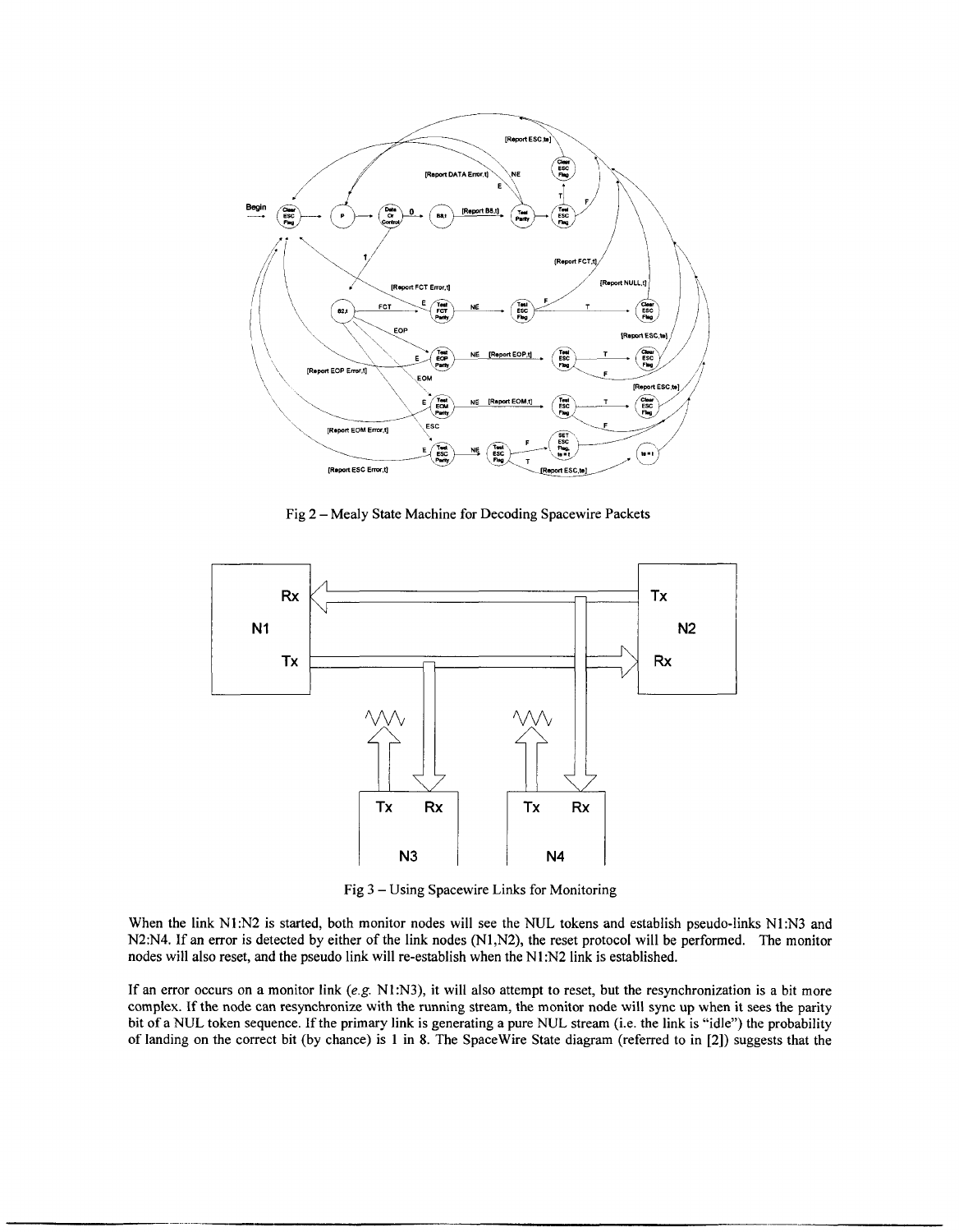

Fig 2 - Mealy State Machine for Decoding Spacewire Packets



Fig 3 - Using Spacewire Links for Monitoring

When the link N1:N2 is started, both monitor nodes will see the NUL tokens and establish pseudo-links N1:N3 and N2:N4. If an error is detected by either of the link nodes (N1,N2), the reset protocol will be performed. The monitor nodes will also reset, and the pseudo link will re-establish when the N1:N2 link is established.

**If** an error occurs on a monitor link *(e.g.* NI:N3), it will also attempt to reset, but the resynchronization is a bit more complex. If the node can resynchronize with the running stream, the monitor node will sync **up** when it sees the parity bit of a NUL token sequence. If the primary link is generating a pure NUL stream (i.e. the link is "idle") the probability of landing on the correct bit (by chance) is 1 in **8.** The Spacewire State diagram (referred to in [2]) suggests that the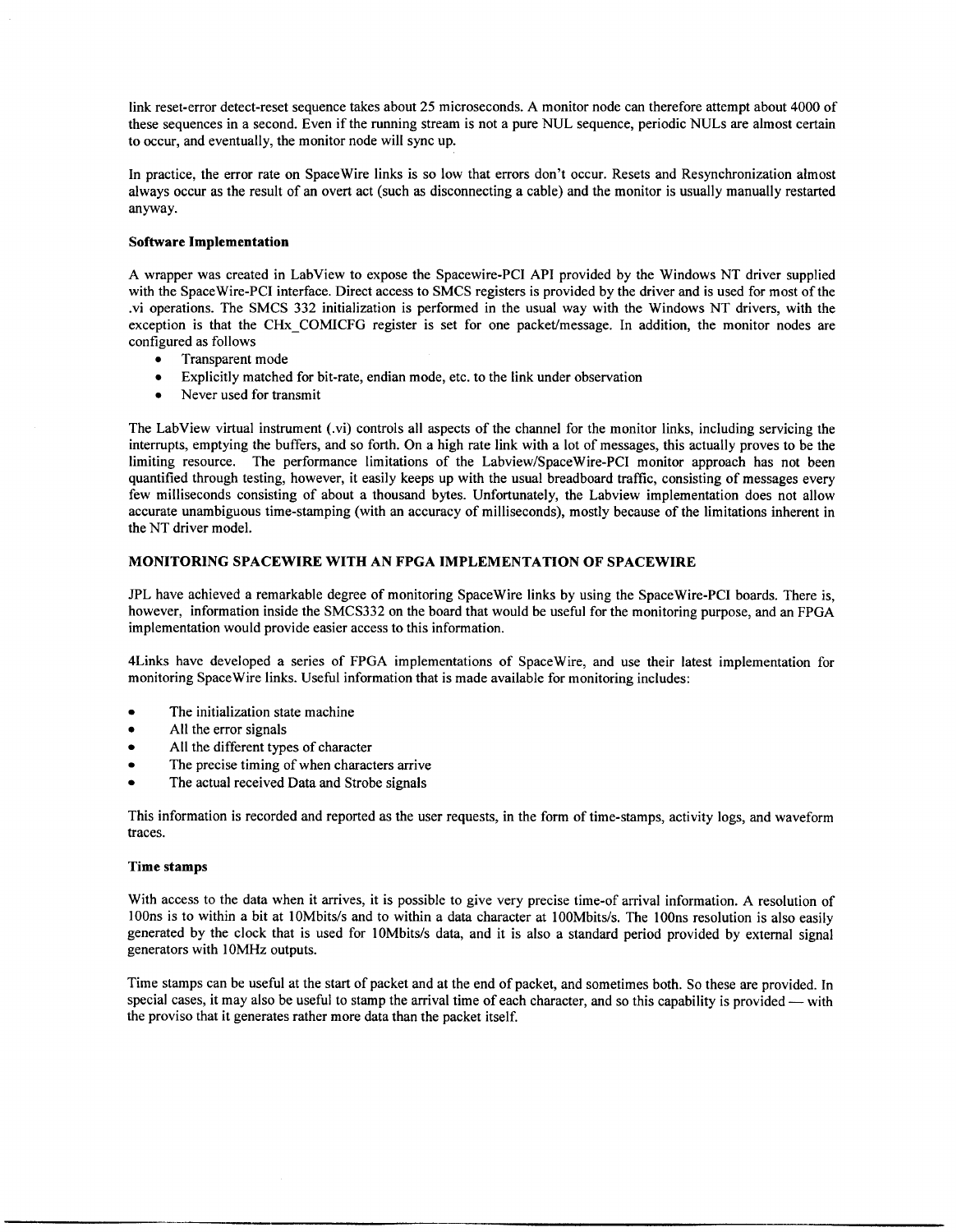link reset-error detect-reset sequence takes about 25 microseconds. A monitor node can therefore attempt about 4000 of these sequences in a second. Even if the running stream is not a pure NUL sequence, periodic NULs are almost certain to occur, and eventually, the monitor node will sync up.

In practice, the error rate on Spacewire links is so low that errors don't occur. Resets and Resynchronization almost always occur as the result of an overt act (such as disconnecting a cable) and the monitor is usually manually restarted anyway.

## **Software Implementation**

A wrapper was created in LabView to expose the Spacewire-PCI API provided by the Windows NT driver supplied with the Spacewire-PCI interface. Direct access to SMCS registers is provided by the driver and is used for most of the .vi operations. The SMCS 332 initialization is performed in the usual way with the Windows NT drivers, with the exception is that the CHx-COMICFG register is set for one packet/message. In addition, the monitor nodes are configured **as** follows

- Transparent mode  $\bullet$
- Explicitly matched for bit-rate, endian mode, etc. to the link under observation
- Never used for transmit

The Labview virtual instrument (.vi) controls all aspects of the channel for the monitor links, including servicing the interrupts, emptying the buffers, and so forth. On a high rate link with a lot of messages, this actually proves to be the limiting resource. The performance limitations of the Labview/SpaceWire-PCI monitor approach has not been quantified through testing, however, it easily keeps up with the usual breadboard traffic, consisting of messages every few milliseconds consisting of about a thousand bytes. Unfortunately, the Labview implementation does not allow accurate unambiguous time-stamping (with an accuracy of milliseconds), mostly because of the limitations inherent in the NT driver model.

## **MONITORING SPACEWIRE WITH AN FPGA IMPLEMENTATION OF SPACEWIRE**

JPL have achieved a remarkable degree **of** monitoring Spacewire links by using the Spacewire-PCI boards. There is, however, information inside the SMCS332 on the board that would be useful for the monitoring purpose, and an FPGA implementation would provide easier access to this information.

4Links have developed a series of FPGA implementations of Spacewire, and use their latest implementation for monitoring Spacewire links. Useful information that is made available for monitoring includes:

- The initialization state machine  $\bullet$
- $\bullet$ All the error signals
- $\bullet$ All the different types of character
- The precise timing of when characters arrive
- The actual received Data and Strobe signals

This information is recorded and reported as the user requests, in the form of time-stamps, activity logs, and waveform traces.

## **Time stamps**

With access to the data when it arrives, it is possible to give very precise time-of arrival information. A resolution of 100ns is to within a bit at 10Mbits/s and to within a data character at 100Mbits/s. The 100ns resolution is also easily generated by the clock that is used for 10Mbits/s data, and it is also a standard period provided by external signal generators with lOMHz outputs.

Time stamps can be useful at the start of packet and at the end of packet, and sometimes both. So these are provided. In Time stamps can be useful at the start of packet and at the end of packet, and sometimes both. So these are provided. In special cases, it may also be useful to stamp the arrival time of each character, and so this capabil the proviso that it generates rather more data than the packet itself.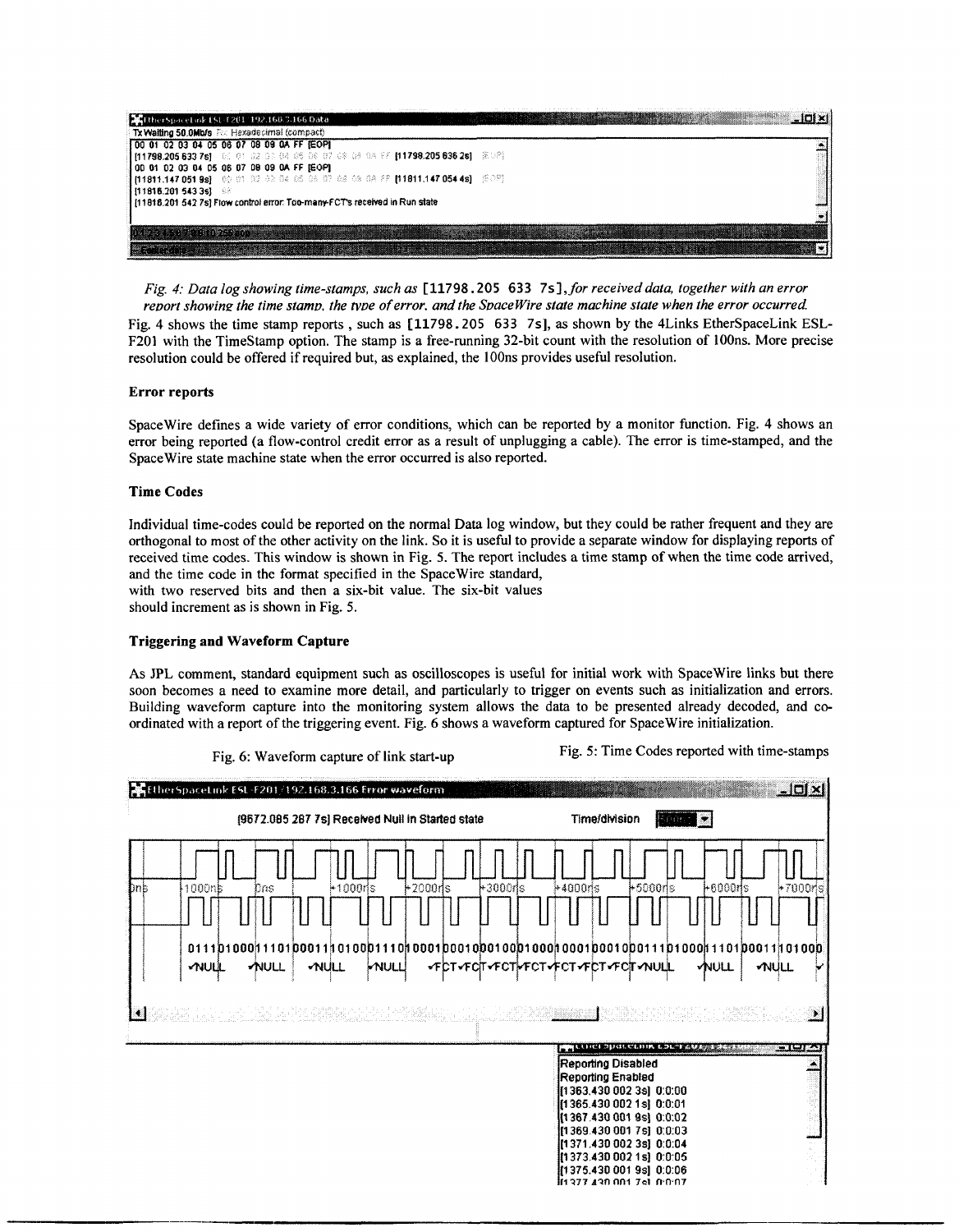| MitherSpaceLuk £5E-F201-192.160.3.166 Data                                                                            |  |
|-----------------------------------------------------------------------------------------------------------------------|--|
| Tx Waiting 50,0Mb/s Ftc Hexadecimal (compact)                                                                         |  |
| 00 01 02 03 04 05 06 07 08 09 0A FF (EOP)                                                                             |  |
| 11798,205 633 7st   06-01-02-04-04-06-00-02-08-08-08-08-11798.205 636 2st   BIDAT                                     |  |
| [00 01 02 03 04 05 06 07 08 09 0A FF [EOP]                                                                            |  |
| 11811.147 051 9s]    00-01-02-04-05-08-08-09-08-08-08-27   11811.147 054 4s]    [509]                                 |  |
| [111815.201 543 3s]<br>[11816.201 542 7s] Flow control error: Too-many-FCT's received in Run state                    |  |
|                                                                                                                       |  |
|                                                                                                                       |  |
|                                                                                                                       |  |
| <u> Serie (Serie Stadt Stadt Stadt Stadt Stadt Stadt Stadt Stadt Stadt Stadt Stadt Stadt Stadt Stadt Stadt Stadt </u> |  |

*Fig. 4: Data log showing time-stamps, such as* **C11798.205** *633* **7s],** *for receiveddata, together with an error* 

*report showing the time stamp, the type of error, and the SpaceWire state machine state when the error occurred.* Fig. *4* shows the time stamp reports , such as **C11798.205 633 7s], as** shown by the 4Links EtherSpaceLink ESL-F201 with the Timestamp option. The stamp is a free-running 32-bit count with the resolution of 100ns. More precise resolution could be offered if required but, as explained, the lOOns provides useful resolution.

# **Error reports**

SpaceWire defines a wide variety of error conditions, which can be reported by a monitor function. Fig. **4** shows an error being reported (a flow-control credit error as a result of unplugging a cable). The error is time-stamped, and the SpaceWire state machine state when the error occurred is also reported.

# **Time Codes**

Individual time-codes could be reported on the normal Data log window, but they could be rather frequent and they are orthogonal to most of the other activity on the link. So it is useful to provide a separate window for displaying reports of received time codes. This window is shown in Fig. 5. The report includes a time stamp **of** when the time code arrived, and the time code in the format specified in the Spacewire standard, with two reserved bits and then a six-bit value. The six-bit values should increment as **is** shown in Fig. 5.

# **Triggering and Waveform Capture**

**As** JPL comment, standard equipment such as oscilloscopes **is** useful for initial work with Spacewire links but there soon becomes a need to examine more detail, and particularly to trigger on events such as initialization and errors. Building waveform capture into the monitoring system allows the data to be presented already decoded, and coordinated with a report of the triggering event. Fig. **6** shows a waveform captured for Spacewire initialization.

| EtherSpaceLink ESL-F201/192.168.3.166 Error waveform |             |      |             |      |          |                                              |                                |             |                                         |                                                                                  |  |                                              |      | $\lfloor$ $\lfloor$ $\rfloor$ $\lfloor$ $\times$ $\rfloor$ |
|------------------------------------------------------|-------------|------|-------------|------|----------|----------------------------------------------|--------------------------------|-------------|-----------------------------------------|----------------------------------------------------------------------------------|--|----------------------------------------------|------|------------------------------------------------------------|
| [9672.085 287 7s] Received Null in Started state     |             |      |             |      |          |                                              | <b>Time/division</b><br>1500 N |             |                                         |                                                                                  |  |                                              |      |                                                            |
| Dnb<br>1000nb<br><b>MULL</b>                         | Dns<br>MULL | NULL | $+1000$ ris | MULL | l+2000ds | <i>ͺ</i> «τρτ«τα τ«τα γεστγεστ«τρτ«τα τ«ηυμμ | $+3000$ ds                     | $+4000$ ris |                                         | ⊧500Ons                                                                          |  | l⊦6O00ris<br>VNULL                           | WULL | $\frac{1}{2}$ 7000ris<br>$\mathbf{r}$                      |
|                                                      |             |      |             |      |          |                                              |                                |             | Reporting Disabled<br>Reporting Enabled | [1363.430 002 3s] 0:0:00<br>[1365.430 002 1s] 0:0:01<br>(1367.430.001.9s).0:0:02 |  | <b>PERMIT PRODUCTION CONTRACT PRODUCTION</b> |      |                                                            |

Fig. 6: Waveform capture of link start-up Fig. 5: Time Codes reported with time-stamps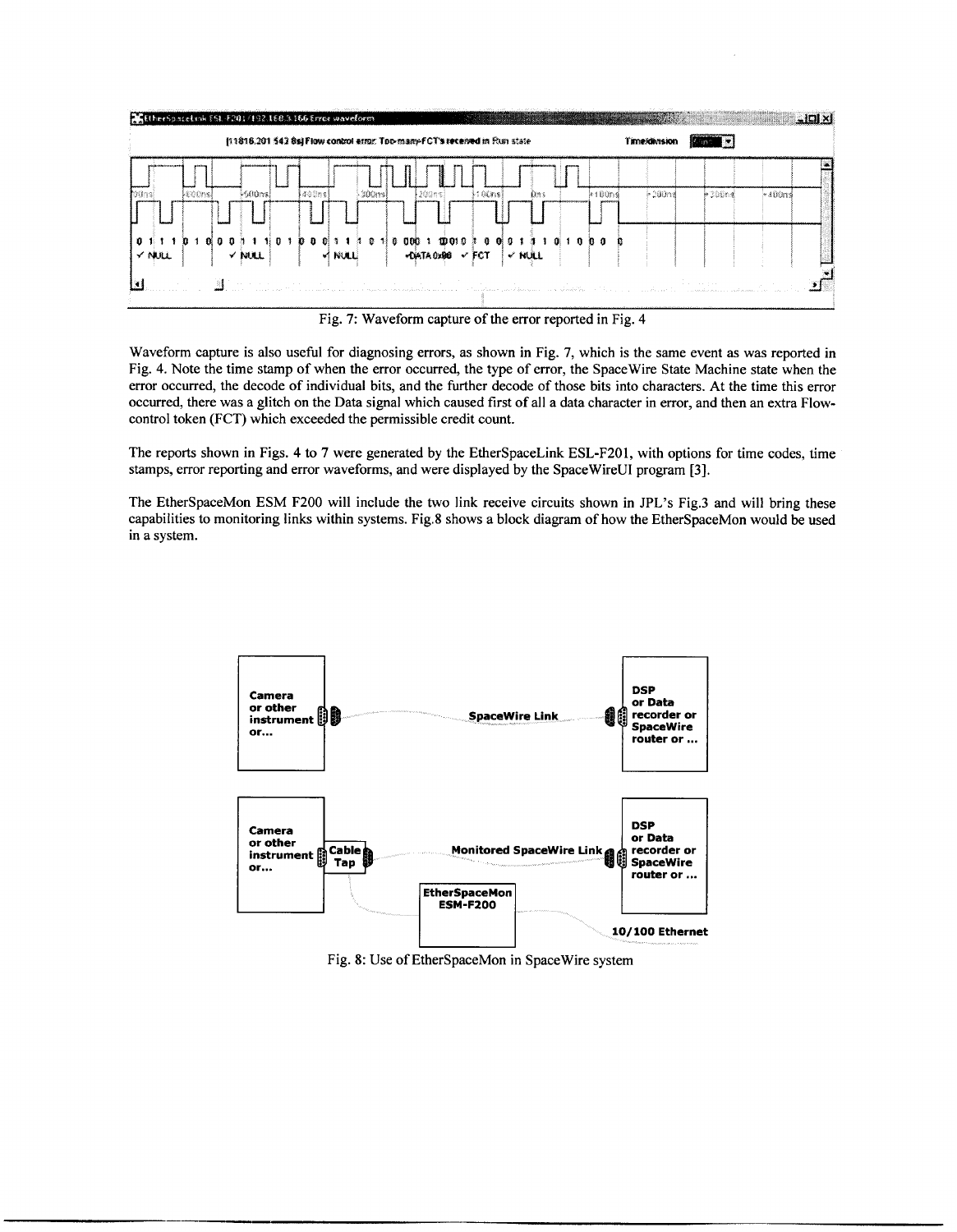

Fig. 7: Waveform capture of the error reported in Fig. 4

Waveform capture is also useful for diagnosing errors, as shown in Fig. 7, which is the same event as was reported in Fig. 4. Note the time stamp of when the error occurred, the type of error, the Spacewire State Machine state when the error occurred, the decode of individual bits, and the further decode of those bits into characters. At the time this error occurred, there was a glitch on the Data signal which caused first **of** all a data character in error, and then an extra Flowcontrol token (FCT) which exceeded the permissible credit count.

The reports shown in Figs. 4 to 7 were generated by the EtherSpaceLink ESL-F201, with options for time codes, time stamps, error reporting and error waveforms, and were displayed by the SpaceWireUI program **[3].** 

The EtherSpaceMon ESM F200 will include the two link receive circuits shown in JPL's Fig.3 and will bring these capabilities to monitoring links within systems. Fig.8 shows a block diagram of how the EtherSpaceMon would be used in a system.



Fig. **8:** Use of EtherSpaceMon in Spacewire system